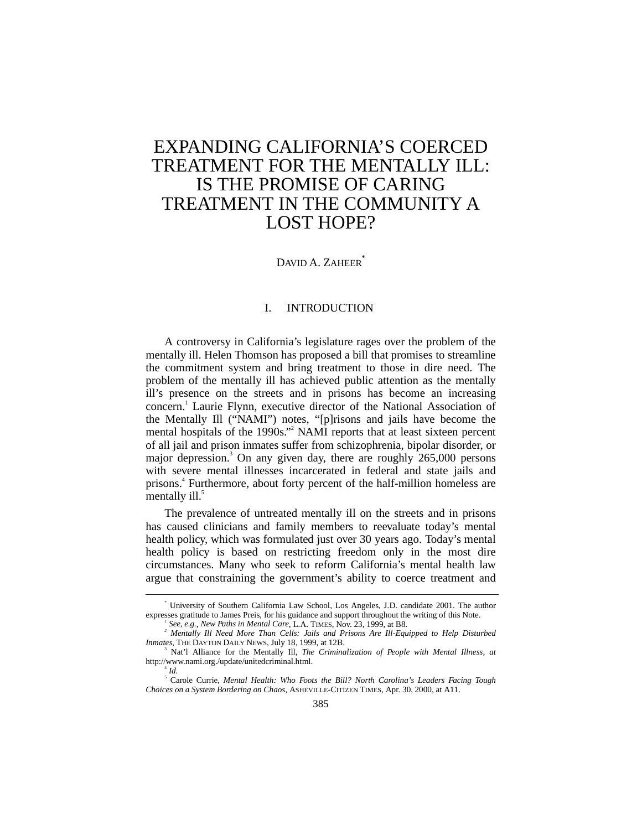# EXPANDING CALIFORNIA'S COERCED TREATMENT FOR THE MENTALLY ILL: IS THE PROMISE OF CARING TREATMENT IN THE COMMUNITY A LOST HOPE?

DAVID A. ZAHEER**\***

# I. INTRODUCTION

A controversy in California's legislature rages over the problem of the mentally ill. Helen Thomson has proposed a bill that promises to streamline the commitment system and bring treatment to those in dire need. The problem of the mentally ill has achieved public attention as the mentally ill's presence on the streets and in prisons has become an increasing concern.<sup>1</sup> Laurie Flynn, executive director of the National Association of the Mentally Ill ("NAMI") notes, "[p]risons and jails have become the mental hospitals of the 1990s."<sup>2</sup> NAMI reports that at least sixteen percent of all jail and prison inmates suffer from schizophrenia, bipolar disorder, or major depression.<sup>3</sup> On any given day, there are roughly 265,000 persons with severe mental illnesses incarcerated in federal and state jails and prisons.<sup>4</sup> Furthermore, about forty percent of the half-million homeless are mentally  $i$ ll.<sup>5</sup>

The prevalence of untreated mentally ill on the streets and in prisons has caused clinicians and family members to reevaluate today's mental health policy, which was formulated just over 30 years ago. Today's mental health policy is based on restricting freedom only in the most dire circumstances. Many who seek to reform California's mental health law argue that constraining the government's ability to coerce treatment and

 $\overline{\phantom{a}}$  University of Southern California Law School, Los Angeles, J.D. candidate 2001. The author expresses gratitude to James Preis, for his guidance and support throughout the writing of this Note. <sup>1</sup>

*See, e.g.*, *New Paths in Mental Care*, L.A. TIMES, Nov. 23, 1999, at B8. *<sup>2</sup>*

*Mentally Ill Need More Than Cells: Jails and Prisons Are Ill-Equipped to Help Disturbed Inmates*, THE DAYTON DAILY NEWS, July 18, 1999, at 12B.

Nat'l Alliance for the Mentally Ill, *The Criminalization of People with Mental Illness*, *at* http://www.nami.org./update/unitedcriminal.html. <sup>4</sup>  $^4$  *Id.* 

<sup>5</sup> Carole Currie, *Mental Health: Who Foots the Bill? North Carolina's Leaders Facing Tough Choices on a System Bordering on Chaos*, ASHEVILLE-CITIZEN TIMES, Apr. 30, 2000, at A11.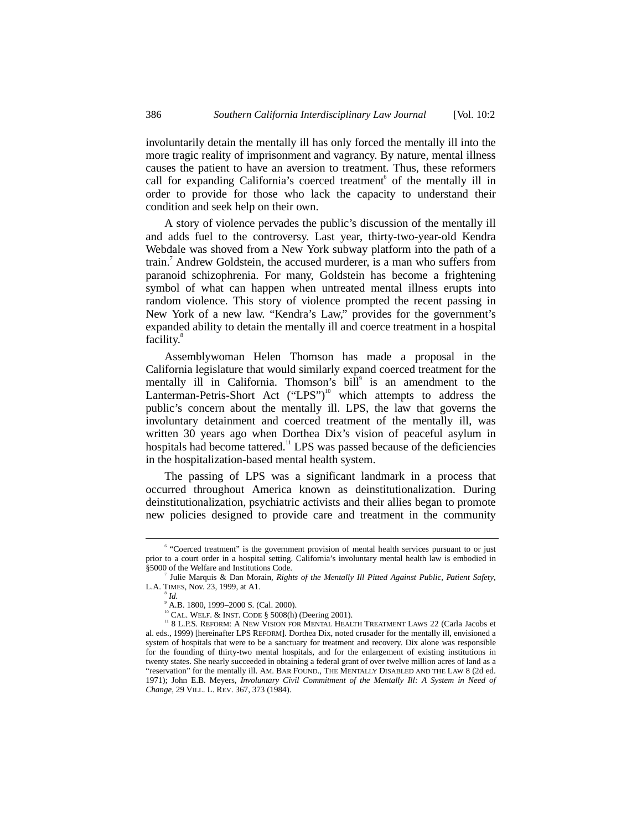involuntarily detain the mentally ill has only forced the mentally ill into the more tragic reality of imprisonment and vagrancy. By nature, mental illness causes the patient to have an aversion to treatment. Thus, these reformers call for expanding California's coerced treatment<sup>6</sup> of the mentally ill in order to provide for those who lack the capacity to understand their condition and seek help on their own.

A story of violence pervades the public's discussion of the mentally ill and adds fuel to the controversy. Last year, thirty-two-year-old Kendra Webdale was shoved from a New York subway platform into the path of a train.<sup>7</sup> Andrew Goldstein, the accused murderer, is a man who suffers from paranoid schizophrenia. For many, Goldstein has become a frightening symbol of what can happen when untreated mental illness erupts into random violence. This story of violence prompted the recent passing in New York of a new law. "Kendra's Law," provides for the government's expanded ability to detain the mentally ill and coerce treatment in a hospital facility.<sup>8</sup>

Assemblywoman Helen Thomson has made a proposal in the California legislature that would similarly expand coerced treatment for the mentally ill in California. Thomson's bill<sup>9</sup> is an amendment to the Lanterman-Petris-Short Act ("LPS")<sup>10</sup> which attempts to address the public's concern about the mentally ill. LPS, the law that governs the involuntary detainment and coerced treatment of the mentally ill, was written 30 years ago when Dorthea Dix's vision of peaceful asylum in hospitals had become tattered.<sup>11</sup> LPS was passed because of the deficiencies in the hospitalization-based mental health system.

The passing of LPS was a significant landmark in a process that occurred throughout America known as deinstitutionalization. During deinstitutionalization, psychiatric activists and their allies began to promote new policies designed to provide care and treatment in the community

 $\overline{\phantom{0}}$ <sup>6</sup> "Coerced treatment" is the government provision of mental health services pursuant to or just prior to a court order in a hospital setting. California's involuntary mental health law is embodied in §5000 of the Welfare and Institutions Code. <sup>7</sup>

Julie Marquis & Dan Morain, *Rights of the Mentally Ill Pitted Against Public, Patient Safety*, L.A. TIMES, Nov. 23, 1999, at A1.

*Id.*

<sup>9</sup> A.B. 1800, 1999–2000 S. (Cal. 2000).

<sup>&</sup>lt;sup>11</sup> 8 L.P.S. REFORM: A NEW VISION FOR MENTAL HEALTH TREATMENT LAWS 22 (Carla Jacobs et al. eds., 1999) [hereinafter LPS REFORM]. Dorthea Dix, noted crusader for the mentally ill, envisioned a system of hospitals that were to be a sanctuary for treatment and recovery. Dix alone was responsible for the founding of thirty-two mental hospitals, and for the enlargement of existing institutions in twenty states. She nearly succeeded in obtaining a federal grant of over twelve million acres of land as a "reservation" for the mentally ill. AM. BAR FOUND., THE MENTALLY DISABLED AND THE LAW 8 (2d ed. 1971); John E.B. Meyers, *Involuntary Civil Commitment of the Mentally Ill: A System in Need of Change*, 29 VILL. L. REV. 367, 373 (1984).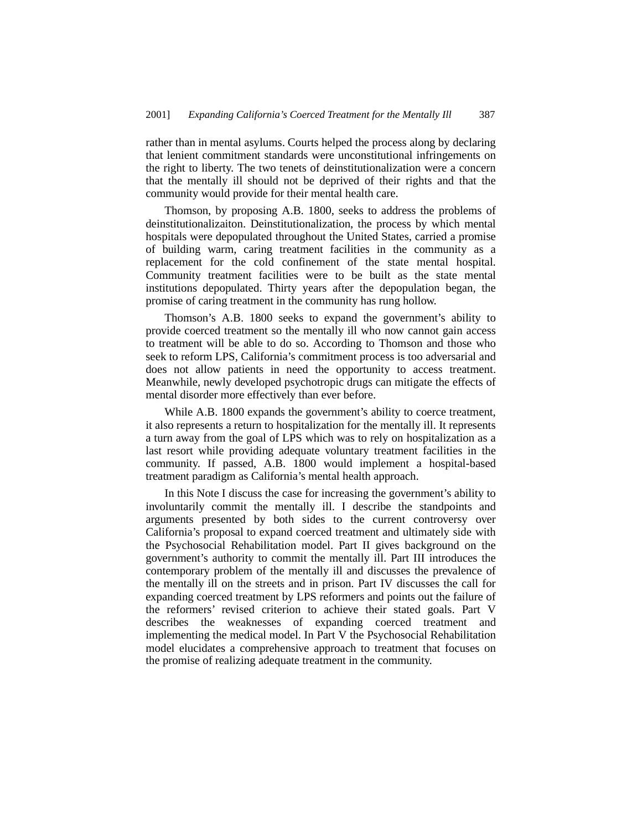rather than in mental asylums. Courts helped the process along by declaring that lenient commitment standards were unconstitutional infringements on the right to liberty. The two tenets of deinstitutionalization were a concern that the mentally ill should not be deprived of their rights and that the community would provide for their mental health care.

Thomson, by proposing A.B. 1800, seeks to address the problems of deinstitutionalizaiton. Deinstitutionalization, the process by which mental hospitals were depopulated throughout the United States, carried a promise of building warm, caring treatment facilities in the community as a replacement for the cold confinement of the state mental hospital. Community treatment facilities were to be built as the state mental institutions depopulated. Thirty years after the depopulation began, the promise of caring treatment in the community has rung hollow.

Thomson's A.B. 1800 seeks to expand the government's ability to provide coerced treatment so the mentally ill who now cannot gain access to treatment will be able to do so. According to Thomson and those who seek to reform LPS, California's commitment process is too adversarial and does not allow patients in need the opportunity to access treatment. Meanwhile, newly developed psychotropic drugs can mitigate the effects of mental disorder more effectively than ever before.

While A.B. 1800 expands the government's ability to coerce treatment, it also represents a return to hospitalization for the mentally ill. It represents a turn away from the goal of LPS which was to rely on hospitalization as a last resort while providing adequate voluntary treatment facilities in the community. If passed, A.B. 1800 would implement a hospital-based treatment paradigm as California's mental health approach.

In this Note I discuss the case for increasing the government's ability to involuntarily commit the mentally ill. I describe the standpoints and arguments presented by both sides to the current controversy over California's proposal to expand coerced treatment and ultimately side with the Psychosocial Rehabilitation model. Part II gives background on the government's authority to commit the mentally ill. Part III introduces the contemporary problem of the mentally ill and discusses the prevalence of the mentally ill on the streets and in prison. Part IV discusses the call for expanding coerced treatment by LPS reformers and points out the failure of the reformers' revised criterion to achieve their stated goals. Part V describes the weaknesses of expanding coerced treatment and implementing the medical model. In Part V the Psychosocial Rehabilitation model elucidates a comprehensive approach to treatment that focuses on the promise of realizing adequate treatment in the community.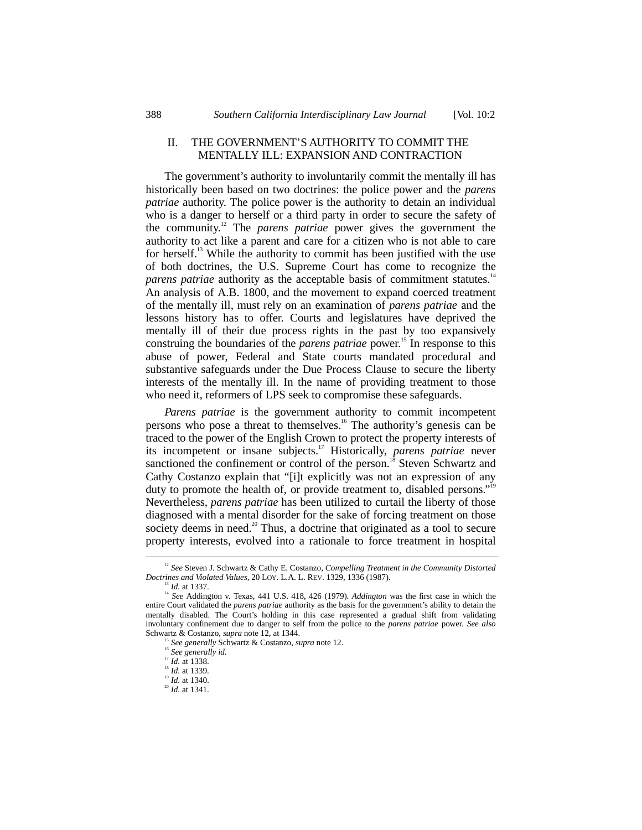#### II. THE GOVERNMENT'S AUTHORITY TO COMMIT THE MENTALLY ILL: EXPANSION AND CONTRACTION

The government's authority to involuntarily commit the mentally ill has historically been based on two doctrines: the police power and the *parens patriae* authority. The police power is the authority to detain an individual who is a danger to herself or a third party in order to secure the safety of the community.12 The *parens patriae* power gives the government the authority to act like a parent and care for a citizen who is not able to care for herself.<sup>13</sup> While the authority to commit has been justified with the use of both doctrines, the U.S. Supreme Court has come to recognize the *parens patriae* authority as the acceptable basis of commitment statutes.<sup>14</sup> An analysis of A.B. 1800, and the movement to expand coerced treatment of the mentally ill, must rely on an examination of *parens patriae* and the lessons history has to offer. Courts and legislatures have deprived the mentally ill of their due process rights in the past by too expansively construing the boundaries of the *parens patriae* power.<sup>15</sup> In response to this abuse of power, Federal and State courts mandated procedural and substantive safeguards under the Due Process Clause to secure the liberty interests of the mentally ill. In the name of providing treatment to those who need it, reformers of LPS seek to compromise these safeguards.

*Parens patriae* is the government authority to commit incompetent persons who pose a threat to themselves.<sup>16</sup> The authority's genesis can be traced to the power of the English Crown to protect the property interests of its incompetent or insane subjects.17 Historically, *parens patriae* never sanctioned the confinement or control of the person.<sup>18</sup> Steven Schwartz and Cathy Costanzo explain that "[i]t explicitly was not an expression of any duty to promote the health of, or provide treatment to, disabled persons."<sup>19</sup> Nevertheless, *parens patriae* has been utilized to curtail the liberty of those diagnosed with a mental disorder for the sake of forcing treatment on those society deems in need.<sup>20</sup> Thus, a doctrine that originated as a tool to secure property interests, evolved into a rationale to force treatment in hospital

<sup>&</sup>lt;sup>12</sup> See Steven J. Schwartz & Cathy E. Costanzo, *Compelling Treatment in the Community Distorted Doctrines and Violated Values*, 20 LOY. L.A. L. REV. 1329, 1336 (1987).

<sup>&</sup>lt;sup>13</sup> *Id.* at 1337. 14 *See* Addington v. Texas, 441 U.S. 418, 426 (1979). *Addington* was the first case in which the entire Court validated the *parens patriae* authority as the basis for the government's ability to detain the mentally disabled. The Court's holding in this case represented a gradual shift from validating involuntary confinement due to danger to self from the police to the *parens patriae* power. *See also*

<sup>&</sup>lt;sup>15</sup> See generally Schwartz & Costanzo, *supra* note 12.<br><sup>16</sup> See generally id.<br><sup>17</sup> Id. at 1338.

<sup>&</sup>lt;sup>18</sup> *Id.* at 1339.<br><sup>19</sup> *Id.* at 1340.

<sup>19</sup> *Id.* at 1340. <sup>20</sup> *Id.* at 1341.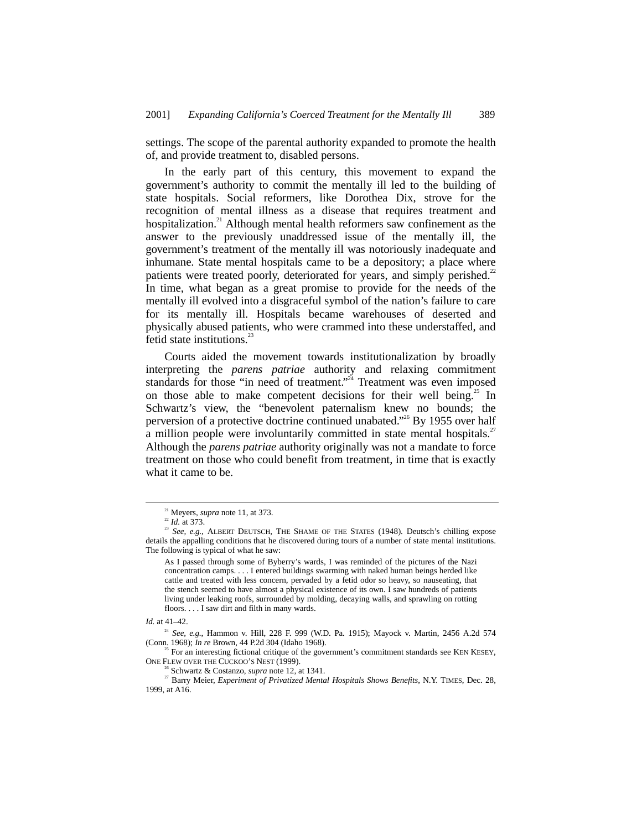settings. The scope of the parental authority expanded to promote the health of, and provide treatment to, disabled persons.

In the early part of this century, this movement to expand the government's authority to commit the mentally ill led to the building of state hospitals. Social reformers, like Dorothea Dix, strove for the recognition of mental illness as a disease that requires treatment and hospitalization.<sup>21</sup> Although mental health reformers saw confinement as the answer to the previously unaddressed issue of the mentally ill, the government's treatment of the mentally ill was notoriously inadequate and inhumane. State mental hospitals came to be a depository; a place where patients were treated poorly, deteriorated for years, and simply perished.<sup>22</sup> In time, what began as a great promise to provide for the needs of the mentally ill evolved into a disgraceful symbol of the nation's failure to care for its mentally ill. Hospitals became warehouses of deserted and physically abused patients, who were crammed into these understaffed, and fetid state institutions. $<sup>2</sup>$ </sup>

Courts aided the movement towards institutionalization by broadly interpreting the *parens patriae* authority and relaxing commitment standards for those "in need of treatment."<sup>24</sup> Treatment was even imposed on those able to make competent decisions for their well being.<sup>25</sup> In Schwartz's view, the "benevolent paternalism knew no bounds; the perversion of a protective doctrine continued unabated."<sup>26</sup> By 1955 over half a million people were involuntarily committed in state mental hospitals.<sup>27</sup> Although the *parens patriae* authority originally was not a mandate to force treatment on those who could benefit from treatment, in time that is exactly what it came to be.

<sup>&</sup>lt;sup>21</sup> Meyers, *supra* note 11, at 373.<br><sup>22</sup> Id. at 373.

<sup>&</sup>lt;sup>21</sup> *See, e.g.*, ALBERT DEUTSCH, THE SHAME OF THE STATES (1948). Deutsch's chilling expose details the appalling conditions that he discovered during tours of a number of state mental institutions. The following is typical of what he saw:

As I passed through some of Byberry's wards, I was reminded of the pictures of the Nazi concentration camps. . . . I entered buildings swarming with naked human beings herded like cattle and treated with less concern, pervaded by a fetid odor so heavy, so nauseating, that the stench seemed to have almost a physical existence of its own. I saw hundreds of patients living under leaking roofs, surrounded by molding, decaying walls, and sprawling on rotting floors. . . . I saw dirt and filth in many wards.

*Id.* at 41–42.

<sup>&</sup>lt;sup>24</sup> *See, e.g.*, Hammon v. Hill, 228 F. 999 (W.D. Pa. 1915); Mayock v. Martin, 2456 A.2d 574 (Conn. 1968): *In re* Brown. 44 P.2d 304 (Idaho 1968).

 $^{25}$  For an interesting fictional critique of the government's commitment standards see KEN KESEY, ONE FLEW OVER THE CUCKOO'S NEST (1999).

 $\delta$  Schwartz & Costanzo, *supra* note 12, at 1341.

<sup>&</sup>lt;sup>27</sup> Barry Meier, *Experiment of Privatized Mental Hospitals Shows Benefits*, N.Y. TIMES, Dec. 28, 1999, at A16.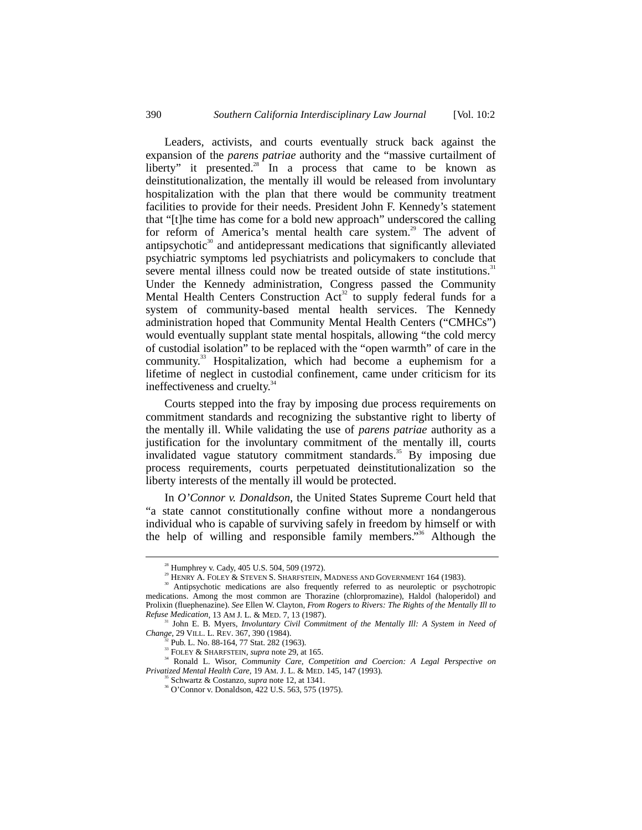Leaders, activists, and courts eventually struck back against the expansion of the *parens patriae* authority and the "massive curtailment of liberty" it presented. $28$  In a process that came to be known as deinstitutionalization, the mentally ill would be released from involuntary hospitalization with the plan that there would be community treatment facilities to provide for their needs. President John F. Kennedy's statement that "[t]he time has come for a bold new approach" underscored the calling for reform of America's mental health care system.<sup>29</sup> The advent of antipsychotic $30$  and antidepressant medications that significantly alleviated psychiatric symptoms led psychiatrists and policymakers to conclude that severe mental illness could now be treated outside of state institutions.<sup>31</sup> Under the Kennedy administration, Congress passed the Community Mental Health Centers Construction  $Act^{32}$  to supply federal funds for a system of community-based mental health services. The Kennedy administration hoped that Community Mental Health Centers ("CMHCs") would eventually supplant state mental hospitals, allowing "the cold mercy of custodial isolation" to be replaced with the "open warmth" of care in the community.<sup>33</sup> Hospitalization, which had become a euphemism for a lifetime of neglect in custodial confinement, came under criticism for its ineffectiveness and cruelty.<sup>34</sup>

Courts stepped into the fray by imposing due process requirements on commitment standards and recognizing the substantive right to liberty of the mentally ill. While validating the use of *parens patriae* authority as a justification for the involuntary commitment of the mentally ill, courts invalidated vague statutory commitment standards.<sup>35</sup> By imposing due process requirements, courts perpetuated deinstitutionalization so the liberty interests of the mentally ill would be protected.

In *O'Connor v. Donaldson*, the United States Supreme Court held that "a state cannot constitutionally confine without more a nondangerous individual who is capable of surviving safely in freedom by himself or with the help of willing and responsible family members."<sup>36</sup> Although the

 <sup>28</sup> Humphrey v. Cady, 405 U.S. 504, 509 (1972).

<sup>&</sup>lt;sup>29</sup> HENRY A. FOLEY & STEVEN S. SHARFSTEIN, MADNESS AND GOVERNMENT 164 (1983).

<sup>30</sup> Antipsychotic medications are also frequently referred to as neuroleptic or psychotropic medications. Among the most common are Thorazine (chlorpromazine), Haldol (haloperidol) and Prolixin (fluephenazine). *See* Ellen W. Clayton, *From Rogers to Rivers: The Rights of the Mentally Ill to*

<sup>&</sup>lt;sup>31</sup> John E. B. Myers, *Involuntary Civil Commitment of the Mentally Ill: A System in Need of Change*, 29 VILL. L. REV. 367, 390 (1984).

Pub. L. No. 88-164, 77 Stat. 282 (1963).

<sup>&</sup>lt;sup>33</sup> FOLEY & SHARFSTEIN, *supra* note 29, at 165.

<sup>34</sup> Ronald L. Wisor, *Community Care, Competition and Coercion: A Legal Perspective on Privatized Mental Health Care*, 19 AM. J. L. & MED. 145, 147 (1993).

<sup>&</sup>lt;sup>36</sup> O'Connor v. Donaldson, 422 U.S. 563, 575 (1975).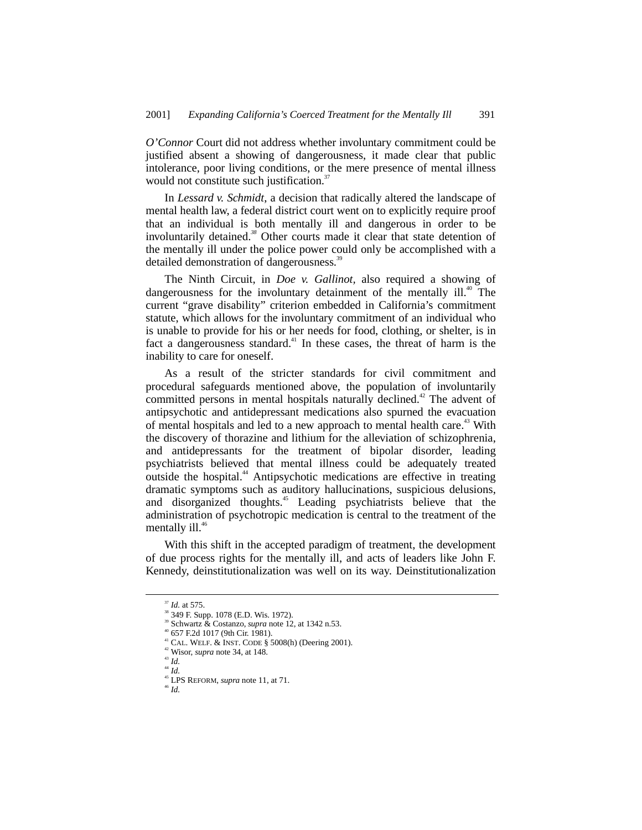*O'Connor* Court did not address whether involuntary commitment could be justified absent a showing of dangerousness, it made clear that public intolerance, poor living conditions, or the mere presence of mental illness would not constitute such justification.<sup>37</sup>

In *Lessard v. Schmidt*, a decision that radically altered the landscape of mental health law, a federal district court went on to explicitly require proof that an individual is both mentally ill and dangerous in order to be involuntarily detained.*<sup>38</sup>* Other courts made it clear that state detention of the mentally ill under the police power could only be accomplished with a detailed demonstration of dangerousness.<sup>39</sup>

The Ninth Circuit, in *Doe v. Gallinot,* also required a showing of dangerousness for the involuntary detainment of the mentally ill.<sup>40</sup> The current "grave disability" criterion embedded in California's commitment statute, which allows for the involuntary commitment of an individual who is unable to provide for his or her needs for food, clothing, or shelter, is in fact a dangerousness standard. $41$  In these cases, the threat of harm is the inability to care for oneself.

As a result of the stricter standards for civil commitment and procedural safeguards mentioned above, the population of involuntarily committed persons in mental hospitals naturally declined.<sup>42</sup> The advent of antipsychotic and antidepressant medications also spurned the evacuation of mental hospitals and led to a new approach to mental health care.<sup>43</sup> With the discovery of thorazine and lithium for the alleviation of schizophrenia, and antidepressants for the treatment of bipolar disorder, leading psychiatrists believed that mental illness could be adequately treated outside the hospital.<sup>44</sup> Antipsychotic medications are effective in treating dramatic symptoms such as auditory hallucinations, suspicious delusions, and disorganized thoughts.<sup>45</sup> Leading psychiatrists believe that the administration of psychotropic medication is central to the treatment of the mentally  $ill.46$ 

With this shift in the accepted paradigm of treatment, the development of due process rights for the mentally ill, and acts of leaders like John F. Kennedy, deinstitutionalization was well on its way. Deinstitutionalization

 <sup>37</sup> *Id.* at 575.

<sup>38 349</sup> F. Supp. 1078 (E.D. Wis. 1972).

Schwartz & Costanzo, *supra* note 12, at 1342 n.53.

<sup>40 657</sup> F.2d 1017 (9th Cir. 1981).

<sup>&</sup>lt;sup>41</sup> CAL. WELF. & INST. CODE § 5008(h) (Deering 2001). <sup>42</sup> Wisor, *supra* note 34, at 148.

<sup>43</sup> *Id.*

<sup>44</sup> *Id.*

 $^{45}$  LPS REFORM, *supra* note 11, at 71.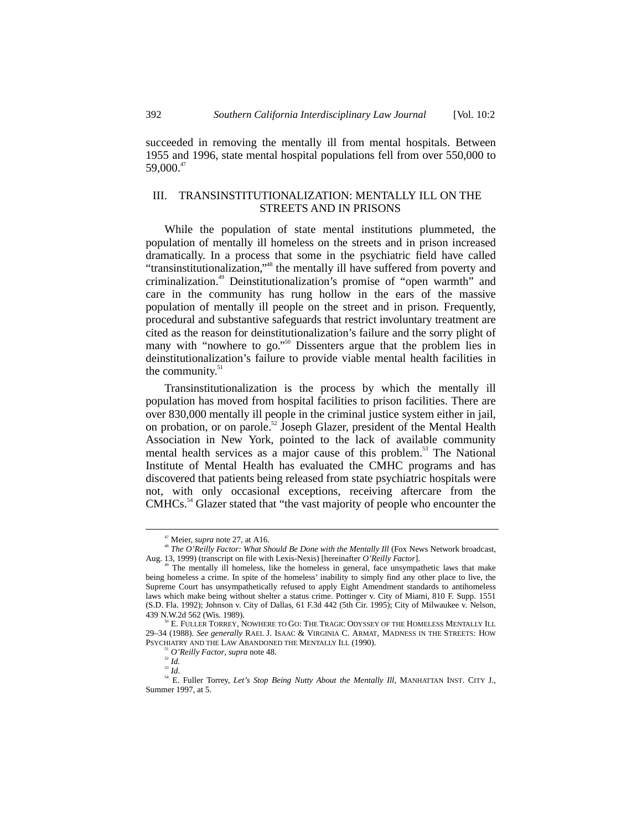succeeded in removing the mentally ill from mental hospitals. Between 1955 and 1996, state mental hospital populations fell from over 550,000 to 59,000.47

## III. TRANSINSTITUTIONALIZATION: MENTALLY ILL ON THE STREETS AND IN PRISONS

While the population of state mental institutions plummeted, the population of mentally ill homeless on the streets and in prison increased dramatically. In a process that some in the psychiatric field have called "transinstitutionalization,"<sup>48</sup> the mentally ill have suffered from poverty and criminalization.49 Deinstitutionalization's promise of "open warmth" and care in the community has rung hollow in the ears of the massive population of mentally ill people on the street and in prison. Frequently, procedural and substantive safeguards that restrict involuntary treatment are cited as the reason for deinstitutionalization's failure and the sorry plight of many with "nowhere to go."<sup>50</sup> Dissenters argue that the problem lies in deinstitutionalization's failure to provide viable mental health facilities in the community. $51$ 

Transinstitutionalization is the process by which the mentally ill population has moved from hospital facilities to prison facilities. There are over 830,000 mentally ill people in the criminal justice system either in jail, on probation, or on parole.<sup>52</sup> Joseph Glazer, president of the Mental Health Association in New York, pointed to the lack of available community mental health services as a major cause of this problem.<sup>53</sup> The National Institute of Mental Health has evaluated the CMHC programs and has discovered that patients being released from state psychiatric hospitals were not, with only occasional exceptions, receiving aftercare from the CMHCs.<sup>54</sup> Glazer stated that "the vast majority of people who encounter the

<sup>&</sup>lt;sup>47</sup> Meier, *supra* note 27, at A16.<br><sup>48</sup> *The O'Reilly Factor: What Should Be Done with the Mentally Ill* (Fox News Network broadcast, Aug. 13, 1999) (transcript on file with Lexis-Nexis) [hereinafter *O'Reilly Factor*].

The mentally ill homeless, like the homeless in general, face unsympathetic laws that make being homeless a crime. In spite of the homeless' inability to simply find any other place to live, the Supreme Court has unsympathetically refused to apply Eight Amendment standards to antihomeless laws which make being without shelter a status crime. Pottinger v. City of Miami, 810 F. Supp. 1551 (S.D. Fla. 1992); Johnson v. City of Dallas, 61 F.3d 442 (5th Cir. 1995); City of Milwaukee v. Nelson,

E. FULLER TORREY, NOWHERE TO GO: THE TRAGIC ODYSSEY OF THE HOMELESS MENTALLY ILL 29–34 (1988). *See generally* RAEL J. ISAAC & VIRGINIA C. ARMAT, MADNESS IN THE STREETS: HOW PSYCHIATRY AND THE LAW ABANDONED THE MENTALLY ILL (1990). <sup>51</sup> *O'Reilly Factor*, *supra* note 48.

 $\overline{\phantom{a}}^{52}$  *Id.* 

<sup>53</sup> *Id.*

<sup>&</sup>lt;sup>54</sup> E. Fuller Torrey, *Let's Stop Being Nutty About the Mentally Ill*, MANHATTAN INST. CITY J., Summer 1997, at 5.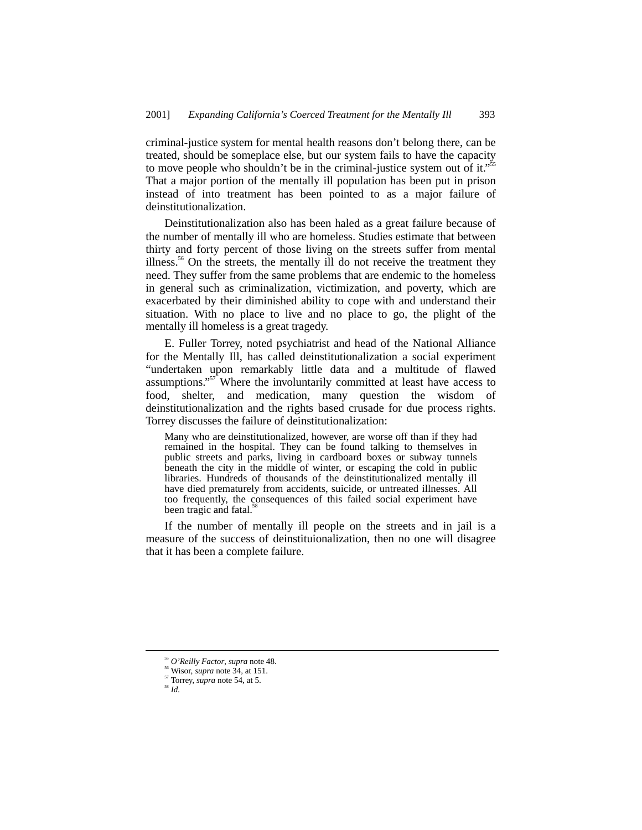criminal-justice system for mental health reasons don't belong there, can be treated, should be someplace else, but our system fails to have the capacity to move people who shouldn't be in the criminal-justice system out of it."<sup>55</sup> That a major portion of the mentally ill population has been put in prison instead of into treatment has been pointed to as a major failure of deinstitutionalization.

Deinstitutionalization also has been haled as a great failure because of the number of mentally ill who are homeless. Studies estimate that between thirty and forty percent of those living on the streets suffer from mental illness.<sup>56</sup> On the streets, the mentally ill do not receive the treatment they need. They suffer from the same problems that are endemic to the homeless in general such as criminalization, victimization, and poverty, which are exacerbated by their diminished ability to cope with and understand their situation. With no place to live and no place to go, the plight of the mentally ill homeless is a great tragedy.

E. Fuller Torrey, noted psychiatrist and head of the National Alliance for the Mentally Ill, has called deinstitutionalization a social experiment "undertaken upon remarkably little data and a multitude of flawed assumptions."<sup>57</sup> Where the involuntarily committed at least have access to food, shelter, and medication, many question the wisdom of deinstitutionalization and the rights based crusade for due process rights. Torrey discusses the failure of deinstitutionalization:

Many who are deinstitutionalized, however, are worse off than if they had remained in the hospital. They can be found talking to themselves in public streets and parks, living in cardboard boxes or subway tunnels beneath the city in the middle of winter, or escaping the cold in public libraries. Hundreds of thousands of the deinstitutionalized mentally ill have died prematurely from accidents, suicide, or untreated illnesses. All too frequently, the consequences of this failed social experiment have been tragic and fatal.<sup>5</sup>

If the number of mentally ill people on the streets and in jail is a measure of the success of deinstituionalization, then no one will disagree that it has been a complete failure.

<sup>55</sup> *O'Reilly Factor*, *supra* note 48. 56 Wisor, *supra* note 34, at 151.

 $\frac{57}{58}$  Torrey, *supra* note 54, at 5.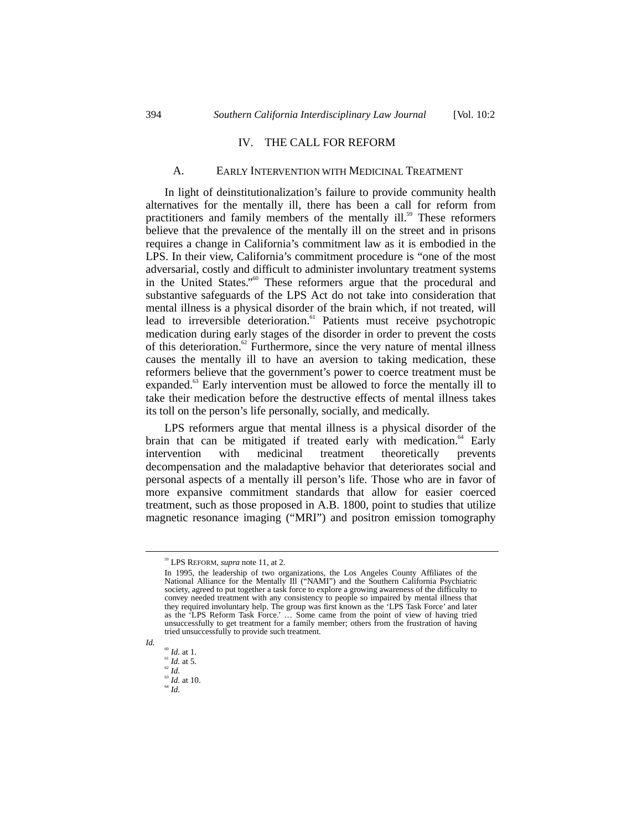#### IV. THE CALL FOR REFORM

#### A. EARLY INTERVENTION WITH MEDICINAL TREATMENT

In light of deinstitutionalization's failure to provide community health alternatives for the mentally ill, there has been a call for reform from practitioners and family members of the mentally ill.<sup>59</sup> These reformers believe that the prevalence of the mentally ill on the street and in prisons requires a change in California's commitment law as it is embodied in the LPS. In their view, California's commitment procedure is "one of the most adversarial, costly and difficult to administer involuntary treatment systems in the United States."<sup>60</sup> These reformers argue that the procedural and substantive safeguards of the LPS Act do not take into consideration that mental illness is a physical disorder of the brain which, if not treated, will lead to irreversible deterioration.<sup>61</sup> Patients must receive psychotropic medication during early stages of the disorder in order to prevent the costs of this deterioration.<sup>62</sup> Furthermore, since the very nature of mental illness causes the mentally ill to have an aversion to taking medication, these reformers believe that the government's power to coerce treatment must be expanded.<sup>63</sup> Early intervention must be allowed to force the mentally ill to take their medication before the destructive effects of mental illness takes its toll on the person's life personally, socially, and medically.

LPS reformers argue that mental illness is a physical disorder of the brain that can be mitigated if treated early with medication.<sup>64</sup> Early intervention with medicinal treatment theoretically prevents intervention with medicinal treatment theoretically prevents decompensation and the maladaptive behavior that deteriorates social and personal aspects of a mentally ill person's life. Those who are in favor of more expansive commitment standards that allow for easier coerced treatment, such as those proposed in A.B. 1800, point to studies that utilize magnetic resonance imaging ("MRI") and positron emission tomography

 <sup>59</sup> LPS REFORM, *supra* note 11, at 2.

In 1995, the leadership of two organizations, the Los Angeles County Affiliates of the National Alliance for the Mentally Ill ("NAMI") and the Southern California Psychiatric society, agreed to put together a task force to explore a growing awareness of the difficulty to convey needed treatment with any consistency to people so impaired by mental illness that they required involuntary help. The group was first known as the 'LPS Task Force' and later as the 'LPS Reform Task Force.' … Some came from the point of view of having tried unsuccessfully to get treatment for a family member; others from the frustration of having tried unsuccessfully to provide such treatment.

*Id.*

<sup>60</sup> *Id.* at 1.

 $\int_{62}^{61}$  *Id.* at 5.

<sup>63</sup> *Id.* at 10. <sup>64</sup> *Id.*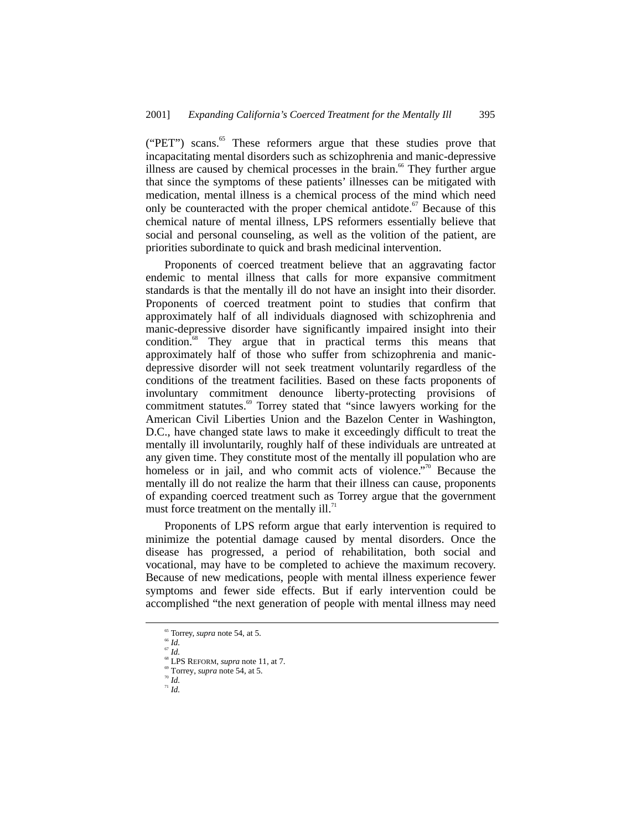("PET") scans.<sup>65</sup> These reformers argue that these studies prove that incapacitating mental disorders such as schizophrenia and manic-depressive illness are caused by chemical processes in the brain.<sup>66</sup> They further argue that since the symptoms of these patients' illnesses can be mitigated with medication, mental illness is a chemical process of the mind which need only be counteracted with the proper chemical antidote. $67$  Because of this chemical nature of mental illness, LPS reformers essentially believe that social and personal counseling, as well as the volition of the patient, are priorities subordinate to quick and brash medicinal intervention.

Proponents of coerced treatment believe that an aggravating factor endemic to mental illness that calls for more expansive commitment standards is that the mentally ill do not have an insight into their disorder. Proponents of coerced treatment point to studies that confirm that approximately half of all individuals diagnosed with schizophrenia and manic-depressive disorder have significantly impaired insight into their condition.<sup>68</sup> They argue that in practical terms this means that approximately half of those who suffer from schizophrenia and manicdepressive disorder will not seek treatment voluntarily regardless of the conditions of the treatment facilities. Based on these facts proponents of involuntary commitment denounce liberty-protecting provisions of commitment statutes.<sup>69</sup> Torrey stated that "since lawyers working for the American Civil Liberties Union and the Bazelon Center in Washington, D.C., have changed state laws to make it exceedingly difficult to treat the mentally ill involuntarily, roughly half of these individuals are untreated at any given time. They constitute most of the mentally ill population who are homeless or in jail, and who commit acts of violence."<sup>70</sup> Because the mentally ill do not realize the harm that their illness can cause, proponents of expanding coerced treatment such as Torrey argue that the government must force treatment on the mentally  $ill$ .<sup>71</sup>

Proponents of LPS reform argue that early intervention is required to minimize the potential damage caused by mental disorders. Once the disease has progressed, a period of rehabilitation, both social and vocational, may have to be completed to achieve the maximum recovery. Because of new medications, people with mental illness experience fewer symptoms and fewer side effects. But if early intervention could be accomplished "the next generation of people with mental illness may need

<sup>70</sup> *Id.*

<sup>&</sup>lt;sup>65</sup> Torrey, *supra* note 54, at 5.<br><sup>66</sup> *Id.* 

<sup>67</sup> *Id.*

<sup>&</sup>lt;sup>68</sup> LPS REFORM, *supra* note 11, at 7.<br><sup>69</sup> Torrey, *supra* note 54, at 5.

 $\overline{u}$  *Id.*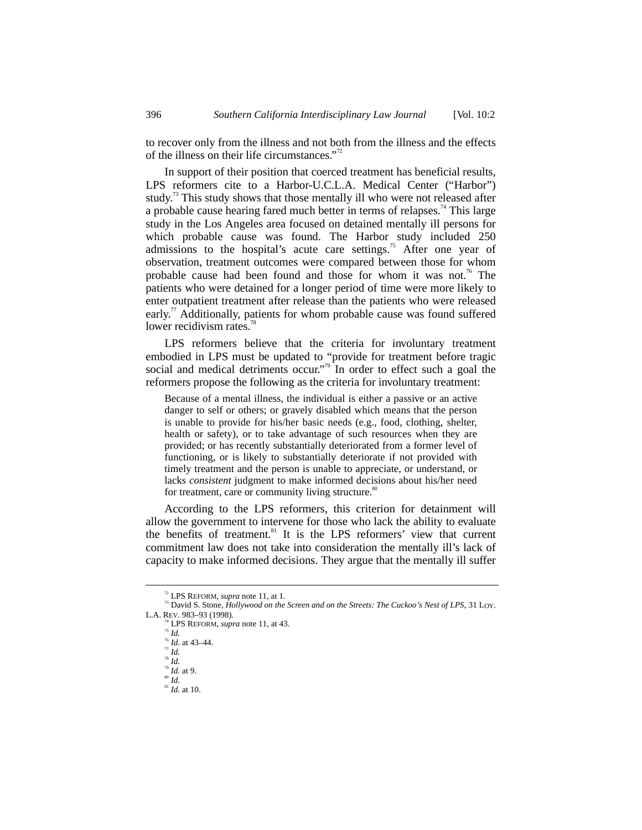to recover only from the illness and not both from the illness and the effects of the illness on their life circumstances." 72

In support of their position that coerced treatment has beneficial results, LPS reformers cite to a Harbor-U.C.L.A. Medical Center ("Harbor") study.<sup>73</sup> This study shows that those mentally ill who were not released after a probable cause hearing fared much better in terms of relapses.<sup>74</sup> This large study in the Los Angeles area focused on detained mentally ill persons for which probable cause was found. The Harbor study included 250 admissions to the hospital's acute care settings.<sup>75</sup> After one year of observation, treatment outcomes were compared between those for whom probable cause had been found and those for whom it was not.<sup>76</sup> The patients who were detained for a longer period of time were more likely to enter outpatient treatment after release than the patients who were released early.<sup>77</sup> Additionally, patients for whom probable cause was found suffered lower recidivism rates.<sup>78</sup>

LPS reformers believe that the criteria for involuntary treatment embodied in LPS must be updated to "provide for treatment before tragic social and medical detriments occur."<sup>79</sup> In order to effect such a goal the reformers propose the following as the criteria for involuntary treatment:

Because of a mental illness, the individual is either a passive or an active danger to self or others; or gravely disabled which means that the person is unable to provide for his/her basic needs (e.g., food, clothing, shelter, health or safety), or to take advantage of such resources when they are provided; or has recently substantially deteriorated from a former level of functioning, or is likely to substantially deteriorate if not provided with timely treatment and the person is unable to appreciate, or understand, or lacks *consistent* judgment to make informed decisions about his/her need for treatment, care or community living structure.<sup>80</sup>

According to the LPS reformers, this criterion for detainment will allow the government to intervene for those who lack the ability to evaluate the benefits of treatment.<sup>81</sup> It is the LPS reformers' view that current commitment law does not take into consideration the mentally ill's lack of capacity to make informed decisions. They argue that the mentally ill suffer

 $\frac{81}{10}$  *Id.* at 10.

<sup>&</sup>lt;sup>72</sup> LPS REFORM, *supra* note 11, at 1.<br><sup>73</sup> David S. Stone, *Hollywood on the Screen and on the Streets: The Cuckoo's Nest of LPS*, 31 LOY.<br>L.A. REV. 983–93 (1998).

LPS REFORM, *supra* note 11, at 43.

<sup>75</sup> *Id.*

 $\int_{77}^{76}$  *Id.* at 43–44.

<sup>78</sup> *Id.* <sup>79</sup> *Id.* at 9.

<sup>80</sup> *Id.*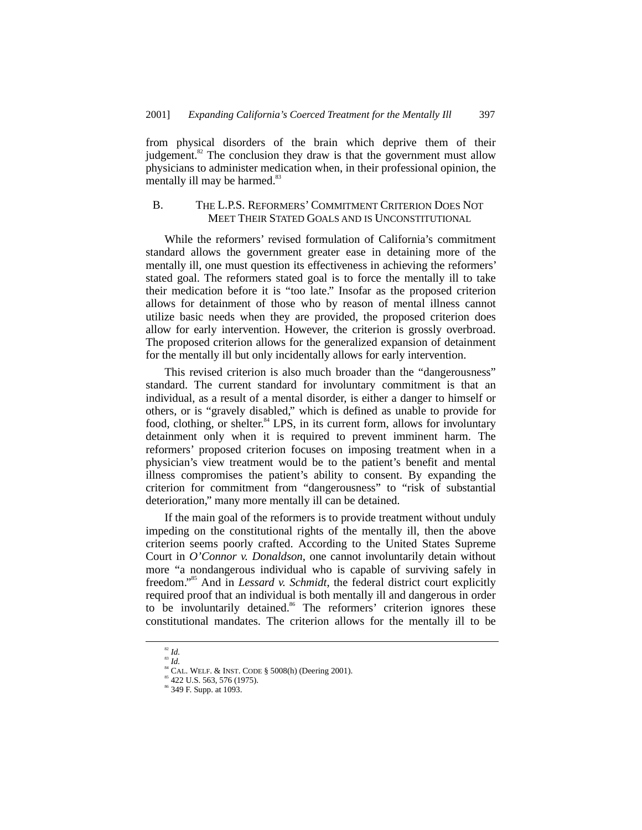from physical disorders of the brain which deprive them of their judgement. $82$ <sup>2</sup> The conclusion they draw is that the government must allow physicians to administer medication when, in their professional opinion, the mentally ill may be harmed.<sup>83</sup>

# B. THE L.P.S. REFORMERS' COMMITMENT CRITERION DOES NOT MEET THEIR STATED GOALS AND IS UNCONSTITUTIONAL

While the reformers' revised formulation of California's commitment standard allows the government greater ease in detaining more of the mentally ill, one must question its effectiveness in achieving the reformers' stated goal. The reformers stated goal is to force the mentally ill to take their medication before it is "too late." Insofar as the proposed criterion allows for detainment of those who by reason of mental illness cannot utilize basic needs when they are provided, the proposed criterion does allow for early intervention. However, the criterion is grossly overbroad. The proposed criterion allows for the generalized expansion of detainment for the mentally ill but only incidentally allows for early intervention.

This revised criterion is also much broader than the "dangerousness" standard. The current standard for involuntary commitment is that an individual, as a result of a mental disorder, is either a danger to himself or others, or is "gravely disabled," which is defined as unable to provide for food, clothing, or shelter.<sup>84</sup> LPS, in its current form, allows for involuntary detainment only when it is required to prevent imminent harm. The reformers' proposed criterion focuses on imposing treatment when in a physician's view treatment would be to the patient's benefit and mental illness compromises the patient's ability to consent. By expanding the criterion for commitment from "dangerousness" to "risk of substantial deterioration," many more mentally ill can be detained.

If the main goal of the reformers is to provide treatment without unduly impeding on the constitutional rights of the mentally ill, then the above criterion seems poorly crafted. According to the United States Supreme Court in *O'Connor v. Donaldson*, one cannot involuntarily detain without more "a nondangerous individual who is capable of surviving safely in freedom."<sup>85</sup> And in *Lessard v. Schmidt*, the federal district court explicitly required proof that an individual is both mentally ill and dangerous in order to be involuntarily detained.<sup>86</sup> The reformers' criterion ignores these constitutional mandates. The criterion allows for the mentally ill to be

 <sup>82</sup> *Id.*

<sup>83</sup> *Id.*

 $84$  CAL. WELF. & INST. CODE § 5008(h) (Deering 2001).

<sup>&</sup>lt;sup>85</sup> 422 U.S. 563, 576 (1975).

<sup>86 349</sup> F. Supp. at 1093.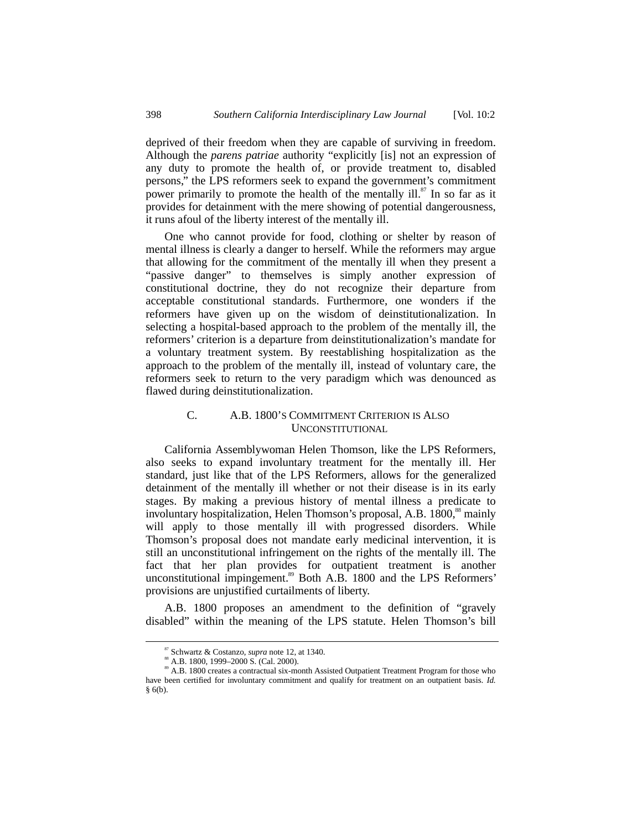deprived of their freedom when they are capable of surviving in freedom. Although the *parens patriae* authority "explicitly [is] not an expression of any duty to promote the health of, or provide treatment to, disabled persons," the LPS reformers seek to expand the government's commitment power primarily to promote the health of the mentally ill. $\frac{87}{11}$  In so far as it provides for detainment with the mere showing of potential dangerousness, it runs afoul of the liberty interest of the mentally ill.

One who cannot provide for food, clothing or shelter by reason of mental illness is clearly a danger to herself. While the reformers may argue that allowing for the commitment of the mentally ill when they present a "passive danger" to themselves is simply another expression of constitutional doctrine, they do not recognize their departure from acceptable constitutional standards. Furthermore, one wonders if the reformers have given up on the wisdom of deinstitutionalization. In selecting a hospital-based approach to the problem of the mentally ill, the reformers' criterion is a departure from deinstitutionalization's mandate for a voluntary treatment system. By reestablishing hospitalization as the approach to the problem of the mentally ill, instead of voluntary care, the reformers seek to return to the very paradigm which was denounced as flawed during deinstitutionalization.

## C. A.B. 1800'S COMMITMENT CRITERION IS ALSO UNCONSTITUTIONAL

California Assemblywoman Helen Thomson, like the LPS Reformers, also seeks to expand involuntary treatment for the mentally ill. Her standard, just like that of the LPS Reformers, allows for the generalized detainment of the mentally ill whether or not their disease is in its early stages. By making a previous history of mental illness a predicate to involuntary hospitalization, Helen Thomson's proposal, A.B. 1800,<sup>88</sup> mainly will apply to those mentally ill with progressed disorders. While Thomson's proposal does not mandate early medicinal intervention, it is still an unconstitutional infringement on the rights of the mentally ill. The fact that her plan provides for outpatient treatment is another unconstitutional impingement.<sup>89</sup> Both A.B. 1800 and the LPS Reformers' provisions are unjustified curtailments of liberty.

A.B. 1800 proposes an amendment to the definition of "gravely disabled" within the meaning of the LPS statute. Helen Thomson's bill

 <sup>87</sup> Schwartz & Costanzo, *supra* note 12, at 1340.

<sup>89</sup> A.B. 1800 creates a contractual six-month Assisted Outpatient Treatment Program for those who have been certified for involuntary commitment and qualify for treatment on an outpatient basis. *Id.* § 6(b).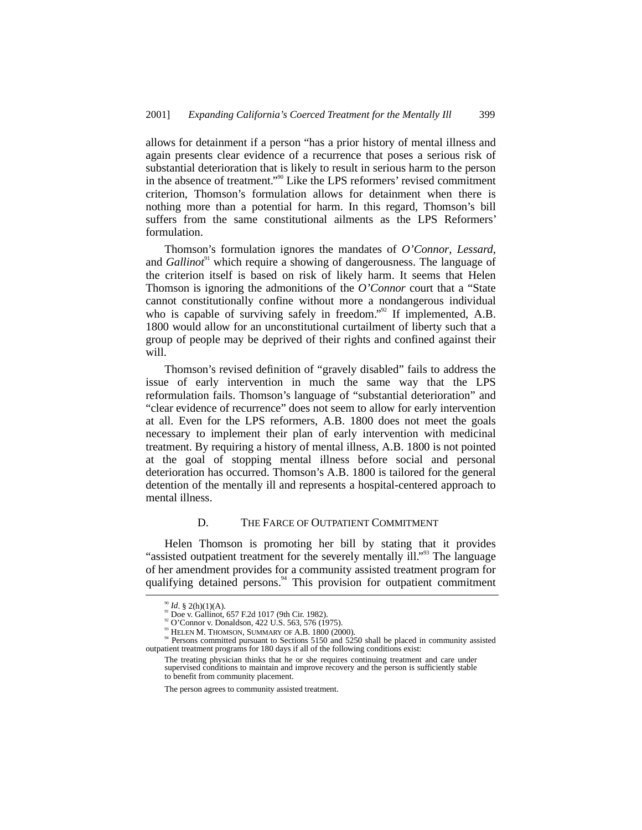allows for detainment if a person "has a prior history of mental illness and again presents clear evidence of a recurrence that poses a serious risk of substantial deterioration that is likely to result in serious harm to the person in the absence of treatment." 90 Like the LPS reformers' revised commitment criterion, Thomson's formulation allows for detainment when there is nothing more than a potential for harm. In this regard, Thomson's bill suffers from the same constitutional ailments as the LPS Reformers' formulation.

Thomson's formulation ignores the mandates of *O'Connor*, *Lessard*, and *Gallinot*<sup>91</sup> which require a showing of dangerousness. The language of the criterion itself is based on risk of likely harm. It seems that Helen Thomson is ignoring the admonitions of the *O'Connor* court that a "State cannot constitutionally confine without more a nondangerous individual who is capable of surviving safely in freedom."<sup>92</sup> If implemented, A.B. 1800 would allow for an unconstitutional curtailment of liberty such that a group of people may be deprived of their rights and confined against their will.

Thomson's revised definition of "gravely disabled" fails to address the issue of early intervention in much the same way that the LPS reformulation fails. Thomson's language of "substantial deterioration" and "clear evidence of recurrence" does not seem to allow for early intervention at all. Even for the LPS reformers, A.B. 1800 does not meet the goals necessary to implement their plan of early intervention with medicinal treatment. By requiring a history of mental illness, A.B. 1800 is not pointed at the goal of stopping mental illness before social and personal deterioration has occurred. Thomson's A.B. 1800 is tailored for the general detention of the mentally ill and represents a hospital-centered approach to mental illness.

#### D. THE FARCE OF OUTPATIENT COMMITMENT

Helen Thomson is promoting her bill by stating that it provides "assisted outpatient treatment for the severely mentally ill."<sup>33</sup> The language of her amendment provides for a community assisted treatment program for qualifying detained persons.<sup>94</sup> This provision for outpatient commitment

<sup>&</sup>lt;sup>90</sup> *Id.* § 2(h)(1)(A).<br><sup>91</sup> Doe v. Gallinot, 657 F.2d 1017 (9th Cir. 1982).<br><sup>92</sup> O'Connor v. Donaldson, 422 U.S. 563, 576 (1975).<br><sup>93</sup> HELEN M. THOMSON, SUMMARY OF A.B. 1800 (2000).<br><sup>94</sup> Persons committed pursuant to Se outpatient treatment programs for 180 days if all of the following conditions exist:

The treating physician thinks that he or she requires continuing treatment and care under supervised conditions to maintain and improve recovery and the person is sufficiently stable to benefit from community placement.

The person agrees to community assisted treatment.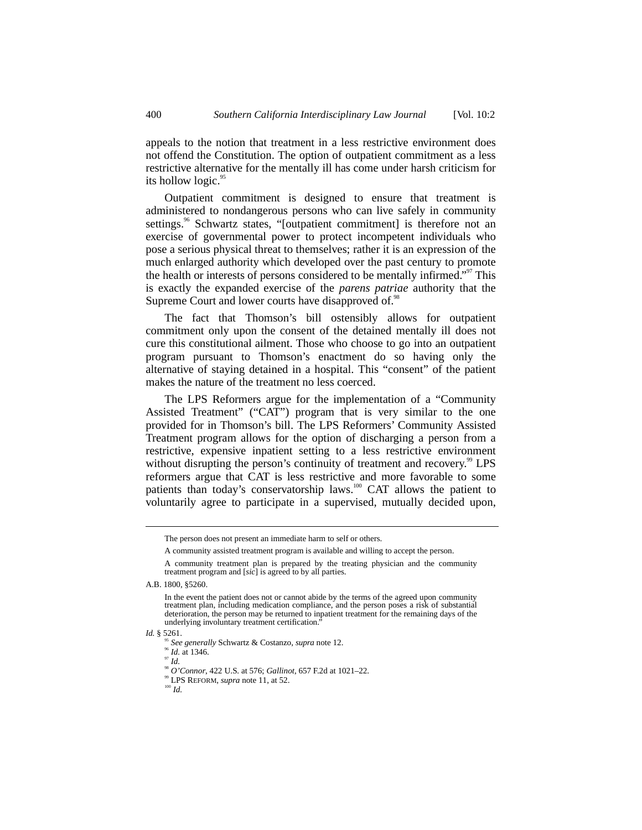appeals to the notion that treatment in a less restrictive environment does not offend the Constitution. The option of outpatient commitment as a less restrictive alternative for the mentally ill has come under harsh criticism for its hollow logic. $95$ 

Outpatient commitment is designed to ensure that treatment is administered to nondangerous persons who can live safely in community settings.<sup>96</sup> Schwartz states, "[outpatient commitment] is therefore not an exercise of governmental power to protect incompetent individuals who pose a serious physical threat to themselves; rather it is an expression of the much enlarged authority which developed over the past century to promote the health or interests of persons considered to be mentally infirmed."<sup>97</sup> This is exactly the expanded exercise of the *parens patriae* authority that the Supreme Court and lower courts have disapproved of.<sup>98</sup>

The fact that Thomson's bill ostensibly allows for outpatient commitment only upon the consent of the detained mentally ill does not cure this constitutional ailment. Those who choose to go into an outpatient program pursuant to Thomson's enactment do so having only the alternative of staying detained in a hospital. This "consent" of the patient makes the nature of the treatment no less coerced.

The LPS Reformers argue for the implementation of a "Community Assisted Treatment" ("CAT") program that is very similar to the one provided for in Thomson's bill. The LPS Reformers' Community Assisted Treatment program allows for the option of discharging a person from a restrictive, expensive inpatient setting to a less restrictive environment without disrupting the person's continuity of treatment and recovery.<sup>99</sup> LPS reformers argue that CAT is less restrictive and more favorable to some patients than today's conservatorship laws.<sup>100</sup> CAT allows the patient to voluntarily agree to participate in a supervised, mutually decided upon,

The person does not present an immediate harm to self or others.

A community assisted treatment program is available and willing to accept the person.

A community treatment plan is prepared by the treating physician and the community treatment program and [*sic*] is agreed to by all parties.

A.B. 1800, §5260.

In the event the patient does not or cannot abide by the terms of the agreed upon community treatment plan, including medication compliance, and the person poses a risk of substantial deterioration, the person may be returned to inpatient treatment for the remaining days of the underlying involuntary treatment certification.

*Id.* § 5261.

<sup>95</sup> *See generally* Schwartz & Costanzo, *supra* note 12. <sup>96</sup> *Id.* at 1346.

 $^{97}$  *Id.* 

<sup>98</sup> *O'Connor*, 422 U.S. at 576; *Gallinot*, 657 F.2d at 1021–22.

<sup>&</sup>lt;sup>99</sup> LPS REFORM, *supra* note 11, at 52.<br><sup>100</sup> *Id*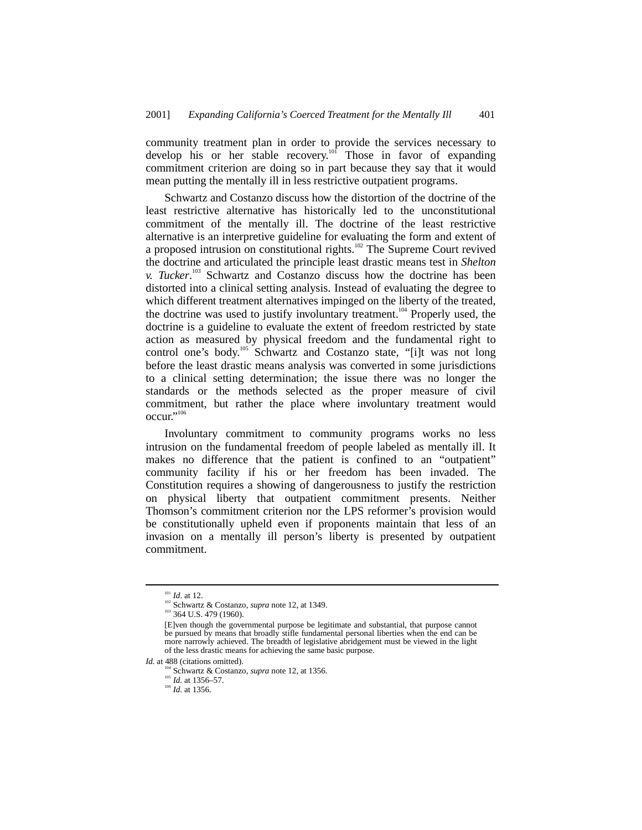community treatment plan in order to provide the services necessary to develop his or her stable recovery.<sup>101</sup> Those in favor of expanding commitment criterion are doing so in part because they say that it would mean putting the mentally ill in less restrictive outpatient programs.

Schwartz and Costanzo discuss how the distortion of the doctrine of the least restrictive alternative has historically led to the unconstitutional commitment of the mentally ill. The doctrine of the least restrictive alternative is an interpretive guideline for evaluating the form and extent of a proposed intrusion on constitutional rights.<sup>102</sup> The Supreme Court revived the doctrine and articulated the principle least drastic means test in *Shelton v. Tucker*. 103 Schwartz and Costanzo discuss how the doctrine has been distorted into a clinical setting analysis. Instead of evaluating the degree to which different treatment alternatives impinged on the liberty of the treated, the doctrine was used to justify involuntary treatment.<sup>104</sup> Properly used, the doctrine is a guideline to evaluate the extent of freedom restricted by state action as measured by physical freedom and the fundamental right to control one's body.<sup>105</sup> Schwartz and Costanzo state, "[i]t was not long before the least drastic means analysis was converted in some jurisdictions to a clinical setting determination; the issue there was no longer the standards or the methods selected as the proper measure of civil commitment, but rather the place where involuntary treatment would occur." 106

Involuntary commitment to community programs works no less intrusion on the fundamental freedom of people labeled as mentally ill. It makes no difference that the patient is confined to an "outpatient" community facility if his or her freedom has been invaded. The Constitution requires a showing of dangerousness to justify the restriction on physical liberty that outpatient commitment presents. Neither Thomson's commitment criterion nor the LPS reformer's provision would be constitutionally upheld even if proponents maintain that less of an invasion on a mentally ill person's liberty is presented by outpatient commitment.

<sup>105</sup> *Id.* at 1356–57.<br><sup>106</sup> *Id.* at 1356.

<sup>&</sup>lt;sup>101</sup> *Id.* at 12.<br><sup>102</sup> Schwartz & Costanzo, *supra* note 12, at 1349.<br><sup>103</sup> 364 U.S. 479 (1960).

<sup>[</sup>E]ven though the governmental purpose be legitimate and substantial, that purpose cannot be pursued by means that broadly stifle fundamental personal liberties when the end can be more narrowly achieved. The breadth of legislative abridgement must be viewed in the light of the less drastic means for achieving the same basic purpose.

*Id.* at 488 (citations omitted). 104 MeV Schwartz & Costanzo, *supra* note 12, at 1356.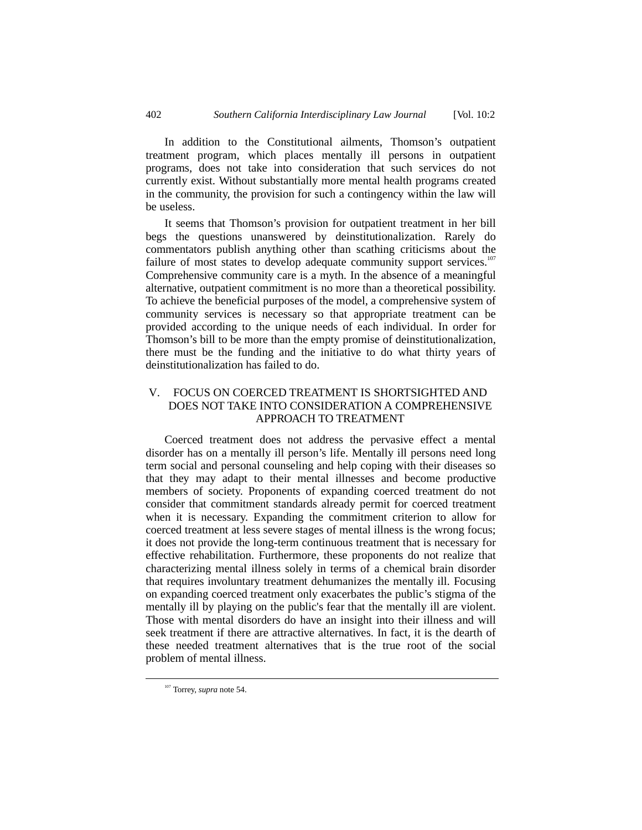In addition to the Constitutional ailments, Thomson's outpatient treatment program, which places mentally ill persons in outpatient programs, does not take into consideration that such services do not currently exist. Without substantially more mental health programs created in the community, the provision for such a contingency within the law will be useless.

It seems that Thomson's provision for outpatient treatment in her bill begs the questions unanswered by deinstitutionalization. Rarely do commentators publish anything other than scathing criticisms about the failure of most states to develop adequate community support services.<sup>107</sup> Comprehensive community care is a myth. In the absence of a meaningful alternative, outpatient commitment is no more than a theoretical possibility. To achieve the beneficial purposes of the model, a comprehensive system of community services is necessary so that appropriate treatment can be provided according to the unique needs of each individual. In order for Thomson's bill to be more than the empty promise of deinstitutionalization, there must be the funding and the initiative to do what thirty years of deinstitutionalization has failed to do.

# V. FOCUS ON COERCED TREATMENT IS SHORTSIGHTED AND DOES NOT TAKE INTO CONSIDERATION A COMPREHENSIVE APPROACH TO TREATMENT

Coerced treatment does not address the pervasive effect a mental disorder has on a mentally ill person's life. Mentally ill persons need long term social and personal counseling and help coping with their diseases so that they may adapt to their mental illnesses and become productive members of society. Proponents of expanding coerced treatment do not consider that commitment standards already permit for coerced treatment when it is necessary. Expanding the commitment criterion to allow for coerced treatment at less severe stages of mental illness is the wrong focus; it does not provide the long-term continuous treatment that is necessary for effective rehabilitation. Furthermore, these proponents do not realize that characterizing mental illness solely in terms of a chemical brain disorder that requires involuntary treatment dehumanizes the mentally ill. Focusing on expanding coerced treatment only exacerbates the public's stigma of the mentally ill by playing on the public's fear that the mentally ill are violent. Those with mental disorders do have an insight into their illness and will seek treatment if there are attractive alternatives. In fact, it is the dearth of these needed treatment alternatives that is the true root of the social problem of mental illness.

 <sup>107</sup> Torrey, *supra* note 54.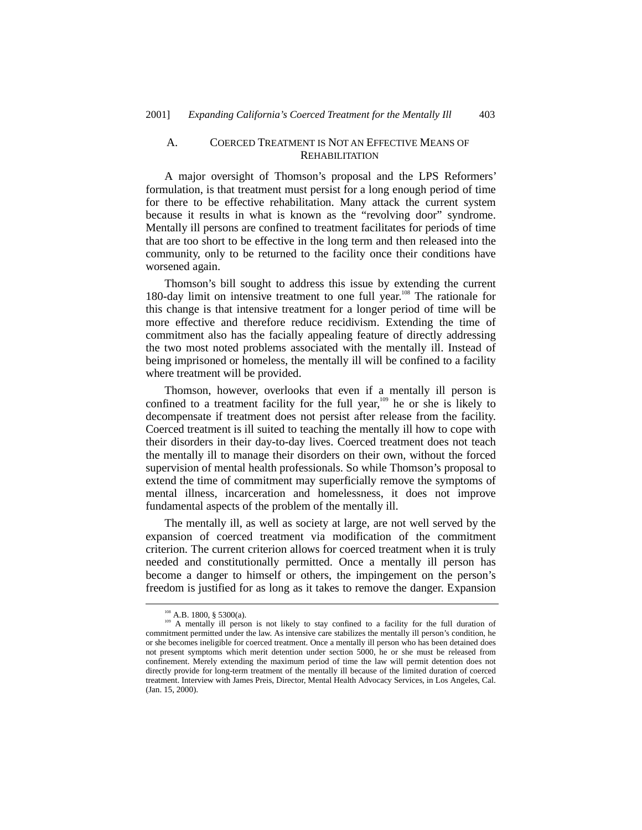## A. COERCED TREATMENT IS NOT AN EFFECTIVE MEANS OF **REHABILITATION**

A major oversight of Thomson's proposal and the LPS Reformers' formulation, is that treatment must persist for a long enough period of time for there to be effective rehabilitation. Many attack the current system because it results in what is known as the "revolving door" syndrome. Mentally ill persons are confined to treatment facilitates for periods of time that are too short to be effective in the long term and then released into the community, only to be returned to the facility once their conditions have worsened again.

Thomson's bill sought to address this issue by extending the current 180-day limit on intensive treatment to one full year.<sup>108</sup> The rationale for this change is that intensive treatment for a longer period of time will be more effective and therefore reduce recidivism. Extending the time of commitment also has the facially appealing feature of directly addressing the two most noted problems associated with the mentally ill. Instead of being imprisoned or homeless, the mentally ill will be confined to a facility where treatment will be provided.

Thomson, however, overlooks that even if a mentally ill person is confined to a treatment facility for the full year, $109$  he or she is likely to decompensate if treatment does not persist after release from the facility. Coerced treatment is ill suited to teaching the mentally ill how to cope with their disorders in their day-to-day lives. Coerced treatment does not teach the mentally ill to manage their disorders on their own, without the forced supervision of mental health professionals. So while Thomson's proposal to extend the time of commitment may superficially remove the symptoms of mental illness, incarceration and homelessness, it does not improve fundamental aspects of the problem of the mentally ill.

The mentally ill, as well as society at large, are not well served by the expansion of coerced treatment via modification of the commitment criterion. The current criterion allows for coerced treatment when it is truly needed and constitutionally permitted. Once a mentally ill person has become a danger to himself or others, the impingement on the person's freedom is justified for as long as it takes to remove the danger. Expansion

<sup>&</sup>lt;sup>108</sup> A.B. 1800, § 5300(a).<br><sup>109</sup> A mentally ill person is not likely to stay confined to a facility for the full duration of commitment permitted under the law. As intensive care stabilizes the mentally ill person's condition, he or she becomes ineligible for coerced treatment. Once a mentally ill person who has been detained does not present symptoms which merit detention under section 5000, he or she must be released from confinement. Merely extending the maximum period of time the law will permit detention does not directly provide for long-term treatment of the mentally ill because of the limited duration of coerced treatment. Interview with James Preis, Director, Mental Health Advocacy Services, in Los Angeles, Cal. (Jan. 15, 2000).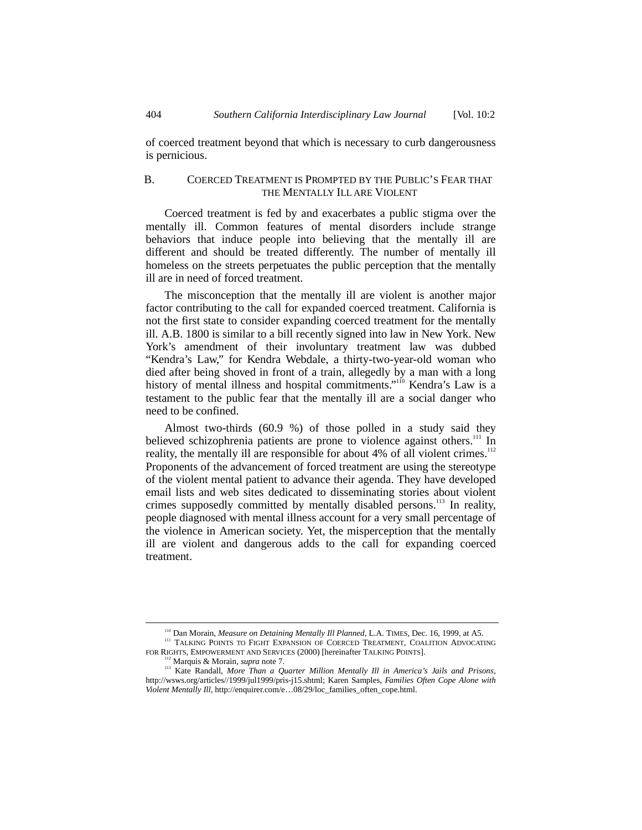of coerced treatment beyond that which is necessary to curb dangerousness is pernicious.

# B. COERCED TREATMENT IS PROMPTED BY THE PUBLIC'S FEAR THAT THE MENTALLY ILL ARE VIOLENT

Coerced treatment is fed by and exacerbates a public stigma over the mentally ill. Common features of mental disorders include strange behaviors that induce people into believing that the mentally ill are different and should be treated differently. The number of mentally ill homeless on the streets perpetuates the public perception that the mentally ill are in need of forced treatment.

The misconception that the mentally ill are violent is another major factor contributing to the call for expanded coerced treatment. California is not the first state to consider expanding coerced treatment for the mentally ill. A.B. 1800 is similar to a bill recently signed into law in New York. New York's amendment of their involuntary treatment law was dubbed "Kendra's Law," for Kendra Webdale, a thirty-two-year-old woman who died after being shoved in front of a train, allegedly by a man with a long history of mental illness and hospital commitments."<sup>110</sup> Kendra's Law is a testament to the public fear that the mentally ill are a social danger who need to be confined.

Almost two-thirds (60.9 %) of those polled in a study said they believed schizophrenia patients are prone to violence against others.<sup>111</sup> In reality, the mentally ill are responsible for about  $4\%$  of all violent crimes.<sup>112</sup> Proponents of the advancement of forced treatment are using the stereotype of the violent mental patient to advance their agenda. They have developed email lists and web sites dedicated to disseminating stories about violent crimes supposedly committed by mentally disabled persons.<sup>113</sup> In reality, people diagnosed with mental illness account for a very small percentage of the violence in American society. Yet, the misperception that the mentally ill are violent and dangerous adds to the call for expanding coerced treatment.

<sup>&</sup>lt;sup>110</sup> Dan Morain, *Measure on Detaining Mentally Ill Planned*, L.A. TIMES, Dec. 16, 1999, at A5. <sup>111</sup> TALKING POINTS TO FIGHT EXPANSION OF COERCED TREATMENT, COALITION ADVOCATING

FOR RIGHTS, EMPOWERMENT AND SERVICES (2000) [hereinafter TALKING POINTS].<br><sup>112</sup> Marquis & Morain, *supra* note 7.

<sup>&</sup>lt;sup>113</sup> Kate Randall, *More Than a Quarter Million Mentally Ill in America's Jails and Prisons*, http://wsws.org/articles//1999/jul1999/pris-j15.shtml; Karen Samples, *Families Often Cope Alone with Violent Mentally Ill*, http://enquirer.com/e…08/29/loc\_families\_often\_cope.html.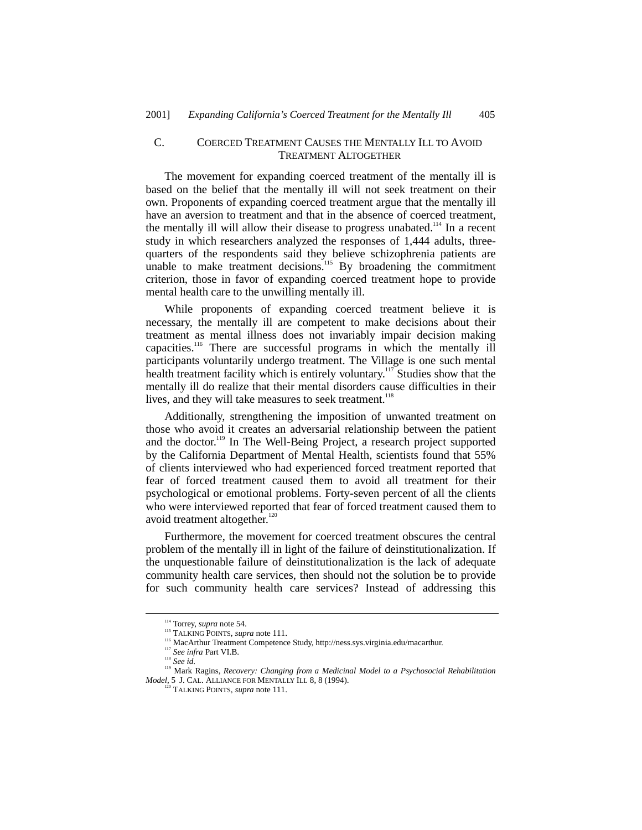# C. COERCED TREATMENT CAUSES THE MENTALLY ILL TO AVOID TREATMENT ALTOGETHER

The movement for expanding coerced treatment of the mentally ill is based on the belief that the mentally ill will not seek treatment on their own. Proponents of expanding coerced treatment argue that the mentally ill have an aversion to treatment and that in the absence of coerced treatment, the mentally ill will allow their disease to progress unabated.<sup>114</sup> In a recent study in which researchers analyzed the responses of 1,444 adults, threequarters of the respondents said they believe schizophrenia patients are unable to make treatment decisions.<sup>115</sup> By broadening the commitment criterion, those in favor of expanding coerced treatment hope to provide mental health care to the unwilling mentally ill.

While proponents of expanding coerced treatment believe it is necessary, the mentally ill are competent to make decisions about their treatment as mental illness does not invariably impair decision making capacities.<sup>116</sup> There are successful programs in which the mentally ill participants voluntarily undergo treatment. The Village is one such mental health treatment facility which is entirely voluntary.<sup>117</sup> Studies show that the mentally ill do realize that their mental disorders cause difficulties in their lives, and they will take measures to seek treatment.<sup>118</sup>

Additionally, strengthening the imposition of unwanted treatment on those who avoid it creates an adversarial relationship between the patient and the doctor.<sup>119</sup> In The Well-Being Project, a research project supported by the California Department of Mental Health, scientists found that 55% of clients interviewed who had experienced forced treatment reported that fear of forced treatment caused them to avoid all treatment for their psychological or emotional problems. Forty-seven percent of all the clients who were interviewed reported that fear of forced treatment caused them to avoid treatment altogether. $120$ 

Furthermore, the movement for coerced treatment obscures the central problem of the mentally ill in light of the failure of deinstitutionalization. If the unquestionable failure of deinstitutionalization is the lack of adequate community health care services, then should not the solution be to provide for such community health care services? Instead of addressing this

<sup>&</sup>lt;sup>114</sup> Torrey, *supra* note 54.<br><sup>115</sup> TALKING POINTS, *supra* note 111.

<sup>&</sup>lt;sup>116</sup> MacArthur Treatment Competence Study, http://ness.sys.virginia.edu/macarthur.<br><sup>117</sup> *See infra* Part VI.B.<br><sup>118</sup> *See id.* 

<sup>&</sup>lt;sup>119</sup> Mark Ragins, *Recovery: Changing from a Medicinal Model to a Psychosocial Rehabilitation Model*, 5 J. CAL. ALLIANCE FOR MENTALLY ILL 8, 8 (1994). 120 TALKING POINTS, *supra* note 111.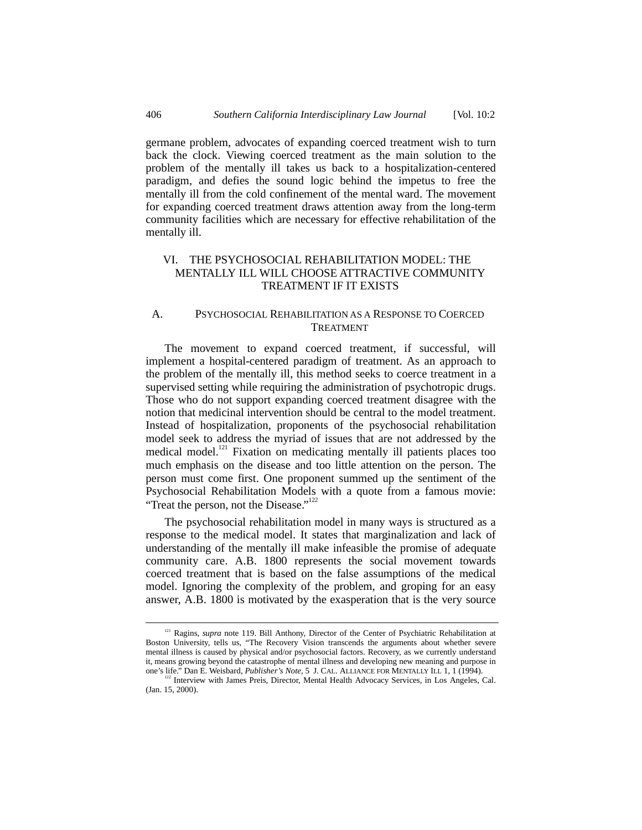germane problem, advocates of expanding coerced treatment wish to turn back the clock. Viewing coerced treatment as the main solution to the problem of the mentally ill takes us back to a hospitalization-centered paradigm, and defies the sound logic behind the impetus to free the mentally ill from the cold confinement of the mental ward. The movement for expanding coerced treatment draws attention away from the long-term community facilities which are necessary for effective rehabilitation of the mentally ill.

## VI. THE PSYCHOSOCIAL REHABILITATION MODEL: THE MENTALLY ILL WILL CHOOSE ATTRACTIVE COMMUNITY TREATMENT IF IT EXISTS

#### A. PSYCHOSOCIAL REHABILITATION AS A RESPONSE TO COERCED TREATMENT

The movement to expand coerced treatment, if successful, will implement a hospital-centered paradigm of treatment. As an approach to the problem of the mentally ill, this method seeks to coerce treatment in a supervised setting while requiring the administration of psychotropic drugs. Those who do not support expanding coerced treatment disagree with the notion that medicinal intervention should be central to the model treatment. Instead of hospitalization, proponents of the psychosocial rehabilitation model seek to address the myriad of issues that are not addressed by the medical model.<sup>121</sup> Fixation on medicating mentally ill patients places too much emphasis on the disease and too little attention on the person. The person must come first. One proponent summed up the sentiment of the Psychosocial Rehabilitation Models with a quote from a famous movie: "Treat the person, not the Disease."<sup>122</sup>

The psychosocial rehabilitation model in many ways is structured as a response to the medical model. It states that marginalization and lack of understanding of the mentally ill make infeasible the promise of adequate community care. A.B. 1800 represents the social movement towards coerced treatment that is based on the false assumptions of the medical model. Ignoring the complexity of the problem, and groping for an easy answer, A.B. 1800 is motivated by the exasperation that is the very source

<sup>&</sup>lt;sup>121</sup> Ragins, *supra* note 119. Bill Anthony, Director of the Center of Psychiatric Rehabilitation at Boston University, tells us, "The Recovery Vision transcends the arguments about whether severe mental illness is caused by physical and/or psychosocial factors. Recovery, as we currently understand it, means growing beyond the catastrophe of mental illness and developing new meaning and purpose in one's life." Dan E. Weisbard, *Publisher's Note*, 5 J. CAL. ALLIANCE FOR MENTALLY ILL 1, 1 (1994).

<sup>&</sup>lt;sup>122</sup> Interview with James Preis, Director, Mental Health Advocacy Services, in Los Angeles, Cal. (Jan. 15, 2000).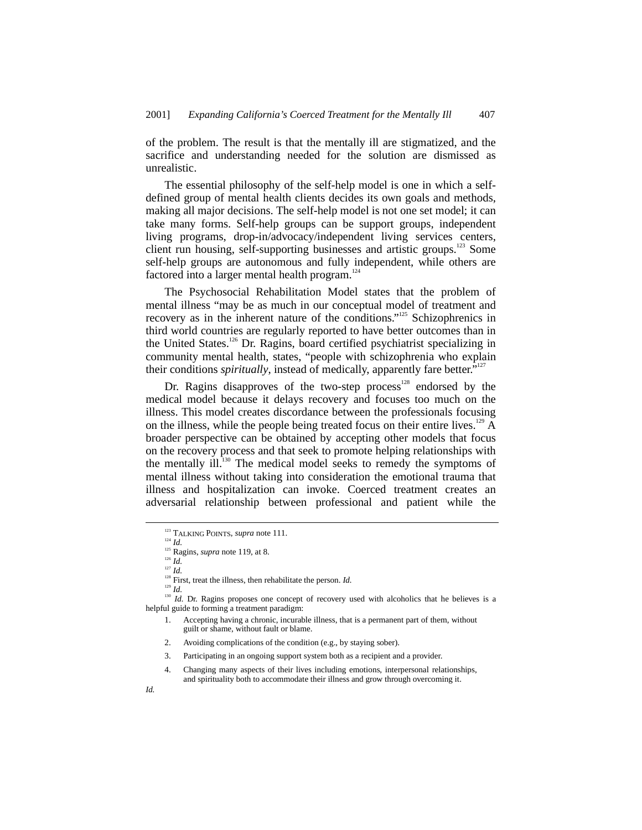of the problem. The result is that the mentally ill are stigmatized, and the sacrifice and understanding needed for the solution are dismissed as unrealistic.

The essential philosophy of the self-help model is one in which a selfdefined group of mental health clients decides its own goals and methods, making all major decisions. The self-help model is not one set model; it can take many forms. Self-help groups can be support groups, independent living programs, drop-in/advocacy/independent living services centers, client run housing, self-supporting businesses and artistic groups.<sup>123</sup> Some self-help groups are autonomous and fully independent, while others are factored into a larger mental health program.<sup>1</sup>

The Psychosocial Rehabilitation Model states that the problem of mental illness "may be as much in our conceptual model of treatment and recovery as in the inherent nature of the conditions."<sup>125</sup> Schizophrenics in third world countries are regularly reported to have better outcomes than in the United States.<sup>126</sup> Dr. Ragins, board certified psychiatrist specializing in community mental health, states, "people with schizophrenia who explain their conditions *spiritually*, instead of medically, apparently fare better."<sup>127</sup>

Dr. Ragins disapproves of the two-step process<sup>128</sup> endorsed by the medical model because it delays recovery and focuses too much on the illness. This model creates discordance between the professionals focusing on the illness, while the people being treated focus on their entire lives.<sup>129</sup> A broader perspective can be obtained by accepting other models that focus on the recovery process and that seek to promote helping relationships with the mentally ill.<sup>130</sup> The medical model seeks to remedy the symptoms of mental illness without taking into consideration the emotional trauma that illness and hospitalization can invoke. Coerced treatment creates an adversarial relationship between professional and patient while the

<sup>127</sup> *Id.*

 $128$  First, treat the illness, then rehabilitate the person. *Id.* 

<sup>129</sup> *Id.*

<sup>&</sup>lt;sup>123</sup> TALKING POINTS, *supra* note 111.

<sup>124</sup> *Id.*

<sup>&</sup>lt;sup>125</sup> Ragins, *supra* note 119, at 8.

<sup>126</sup> *Id.*

<sup>&</sup>lt;sup>130</sup> *Id.* Dr. Ragins proposes one concept of recovery used with alcoholics that he believes is a helpful guide to forming a treatment paradigm:

<sup>1.</sup> Accepting having a chronic, incurable illness, that is a permanent part of them, without guilt or shame, without fault or blame.

<sup>2.</sup> Avoiding complications of the condition (e.g., by staying sober).

<sup>3.</sup> Participating in an ongoing support system both as a recipient and a provider.

<sup>4.</sup> Changing many aspects of their lives including emotions, interpersonal relationships, and spirituality both to accommodate their illness and grow through overcoming it.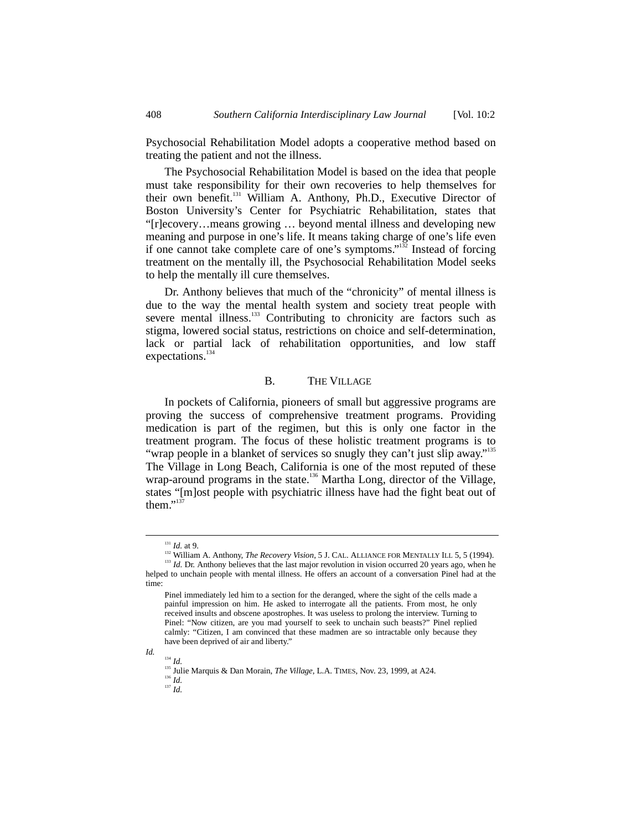Psychosocial Rehabilitation Model adopts a cooperative method based on treating the patient and not the illness.

The Psychosocial Rehabilitation Model is based on the idea that people must take responsibility for their own recoveries to help themselves for their own benefit.<sup>131</sup> William A. Anthony, Ph.D., Executive Director of Boston University's Center for Psychiatric Rehabilitation, states that "[r]ecovery…means growing … beyond mental illness and developing new meaning and purpose in one's life. It means taking charge of one's life even if one cannot take complete care of one's symptoms."<sup>132</sup> Instead of forcing treatment on the mentally ill, the Psychosocial Rehabilitation Model seeks to help the mentally ill cure themselves.

Dr. Anthony believes that much of the "chronicity" of mental illness is due to the way the mental health system and society treat people with severe mental illness.<sup>133</sup> Contributing to chronicity are factors such as stigma, lowered social status, restrictions on choice and self-determination, lack or partial lack of rehabilitation opportunities, and low staff expectations.<sup>134</sup>

#### B. THE VILLAGE

In pockets of California, pioneers of small but aggressive programs are proving the success of comprehensive treatment programs. Providing medication is part of the regimen, but this is only one factor in the treatment program. The focus of these holistic treatment programs is to "wrap people in a blanket of services so snugly they can't just slip away."<sup>135</sup> The Village in Long Beach, California is one of the most reputed of these wrap-around programs in the state.<sup>136</sup> Martha Long, director of the Village, states "[m]ost people with psychiatric illness have had the fight beat out of them."<sup>137</sup>

*Id.*

<sup>134</sup> *Id.*

 <sup>131</sup> *Id.* at 9.

<sup>&</sup>lt;sup>132</sup> William A. Anthony, *The Recovery Vision*, 5 J. CAL. ALLIANCE FOR MENTALLY ILL 5, 5 (1994). <sup>133</sup> *Id.* Dr. Anthony believes that the last major revolution in vision occurred 20 years ago, when he

helped to unchain people with mental illness. He offers an account of a conversation Pinel had at the time:

Pinel immediately led him to a section for the deranged, where the sight of the cells made a painful impression on him. He asked to interrogate all the patients. From most, he only received insults and obscene apostrophes. It was useless to prolong the interview. Turning to Pinel: "Now citizen, are you mad yourself to seek to unchain such beasts?" Pinel replied calmly: "Citizen, I am convinced that these madmen are so intractable only because they have been deprived of air and liberty."

<sup>135</sup> Julie Marquis & Dan Morain, *The Village*, L.A. TIMES, Nov. 23, 1999, at A24.

<sup>136</sup> *Id.*